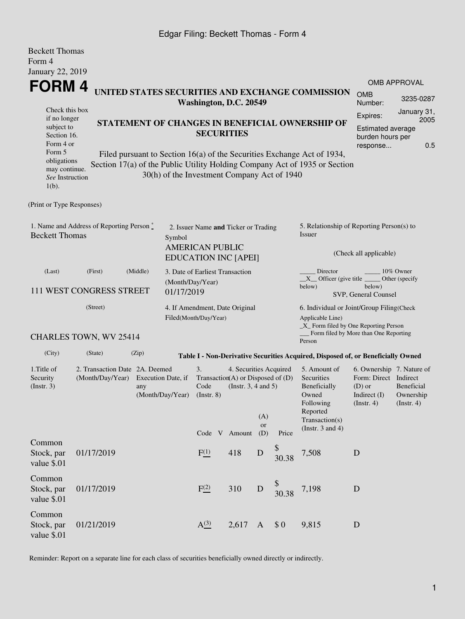## Edgar Filing: Beckett Thomas - Form 4

| <b>Beckett Thomas</b><br>Form 4                                                                                                                                                                |                                          |       |                                                                                                                                                                                                                       |                                                                                               |       |                  |                                                                                                |                                                                                                                                                  |                                                        |                                  |  |
|------------------------------------------------------------------------------------------------------------------------------------------------------------------------------------------------|------------------------------------------|-------|-----------------------------------------------------------------------------------------------------------------------------------------------------------------------------------------------------------------------|-----------------------------------------------------------------------------------------------|-------|------------------|------------------------------------------------------------------------------------------------|--------------------------------------------------------------------------------------------------------------------------------------------------|--------------------------------------------------------|----------------------------------|--|
| <b>January 22, 2019</b>                                                                                                                                                                        |                                          |       |                                                                                                                                                                                                                       |                                                                                               |       |                  |                                                                                                |                                                                                                                                                  |                                                        |                                  |  |
| <b>FORM4</b>                                                                                                                                                                                   |                                          |       |                                                                                                                                                                                                                       |                                                                                               |       |                  |                                                                                                | UNITED STATES SECURITIES AND EXCHANGE COMMISSION                                                                                                 | <b>OMB</b>                                             | <b>OMB APPROVAL</b><br>3235-0287 |  |
|                                                                                                                                                                                                | Washington, D.C. 20549<br>Check this box |       |                                                                                                                                                                                                                       |                                                                                               |       |                  |                                                                                                |                                                                                                                                                  | Number:                                                |                                  |  |
| if no longer<br>STATEMENT OF CHANGES IN BENEFICIAL OWNERSHIP OF<br>subject to<br>Section 16.<br>Form 4 or<br>Form 5<br>Filed pursuant to Section 16(a) of the Securities Exchange Act of 1934, |                                          |       |                                                                                                                                                                                                                       | <b>SECURITIES</b>                                                                             |       |                  |                                                                                                | Expires:<br>burden hours per<br>response                                                                                                         | January 31,<br>2005<br><b>Estimated average</b><br>0.5 |                                  |  |
| obligations<br>may continue.<br>See Instruction<br>$1(b)$ .                                                                                                                                    |                                          |       |                                                                                                                                                                                                                       | 30(h) of the Investment Company Act of 1940                                                   |       |                  |                                                                                                | Section 17(a) of the Public Utility Holding Company Act of 1935 or Section                                                                       |                                                        |                                  |  |
| (Print or Type Responses)                                                                                                                                                                      |                                          |       |                                                                                                                                                                                                                       |                                                                                               |       |                  |                                                                                                |                                                                                                                                                  |                                                        |                                  |  |
| 1. Name and Address of Reporting Person*<br><b>Beckett Thomas</b><br>Symbol                                                                                                                    |                                          |       |                                                                                                                                                                                                                       | 2. Issuer Name and Ticker or Trading<br><b>AMERICAN PUBLIC</b><br><b>EDUCATION INC [APEI]</b> |       |                  |                                                                                                | 5. Relationship of Reporting Person(s) to<br>Issuer<br>(Check all applicable)                                                                    |                                                        |                                  |  |
| (Middle)<br>(Last)<br>(First)<br>111 WEST CONGRESS STREET                                                                                                                                      |                                          |       | 3. Date of Earliest Transaction<br>(Month/Day/Year)<br>01/17/2019                                                                                                                                                     |                                                                                               |       |                  |                                                                                                | Director<br>10% Owner<br>$X$ Officer (give title $\equiv$<br>Other (specify<br>below)<br>below)<br>SVP, General Counsel                          |                                                        |                                  |  |
|                                                                                                                                                                                                | (Street)<br>CHARLES TOWN, WV 25414       |       |                                                                                                                                                                                                                       | 4. If Amendment, Date Original<br>Filed(Month/Day/Year)                                       |       |                  |                                                                                                | 6. Individual or Joint/Group Filing(Check<br>Applicable Line)<br>_X_ Form filed by One Reporting Person<br>Form filed by More than One Reporting |                                                        |                                  |  |
| (City)                                                                                                                                                                                         | (State)                                  | (Zip) |                                                                                                                                                                                                                       |                                                                                               |       |                  |                                                                                                | Person                                                                                                                                           |                                                        |                                  |  |
| 1. Title of<br>2. Transaction Date 2A. Deemed<br>Security<br>(Month/Day/Year)<br>Execution Date, if<br>(Insert. 3)<br>any<br>(Month/Day/Year)                                                  |                                          |       | Table I - Non-Derivative Securities Acquired, Disposed of, or Beneficially Owned<br>3.<br>4. Securities Acquired<br>Transaction(A) or Disposed of $(D)$<br>Code<br>(Instr. $3, 4$ and $5$ )<br>$($ Instr. $8)$<br>(A) |                                                                                               |       |                  | 5. Amount of<br>Securities<br>Beneficially<br>Owned<br>Following<br>Reported<br>Transaction(s) | 6. Ownership 7. Nature of<br>Form: Direct Indirect<br>Beneficial<br>$(D)$ or<br>Indirect $(I)$<br>Ownership<br>(Insert. 4)<br>(Insert. 4)        |                                                        |                                  |  |
|                                                                                                                                                                                                |                                          |       |                                                                                                                                                                                                                       | Code V Amount                                                                                 |       | <b>or</b><br>(D) | Price                                                                                          | (Instr. $3$ and $4$ )                                                                                                                            |                                                        |                                  |  |
| Common<br>Stock, par<br>value \$.01                                                                                                                                                            | 01/17/2019                               |       |                                                                                                                                                                                                                       | F(1)                                                                                          | 418   | ${\bf D}$        | \$30.38                                                                                        | 7,508                                                                                                                                            | ${\bf D}$                                              |                                  |  |
| Common<br>Stock, par<br>value \$.01                                                                                                                                                            | 01/17/2019                               |       |                                                                                                                                                                                                                       | F(2)                                                                                          | 310   | $\mathbf D$      | 30.38                                                                                          | 7,198                                                                                                                                            | $\mathbf D$                                            |                                  |  |
| Common<br>Stock, par                                                                                                                                                                           | 01/21/2019                               |       |                                                                                                                                                                                                                       | A <sup>(3)</sup>                                                                              | 2,617 | $\mathbf{A}$     | \$0                                                                                            | 9,815                                                                                                                                            | D                                                      |                                  |  |

Reminder: Report on a separate line for each class of securities beneficially owned directly or indirectly.

value \$.01